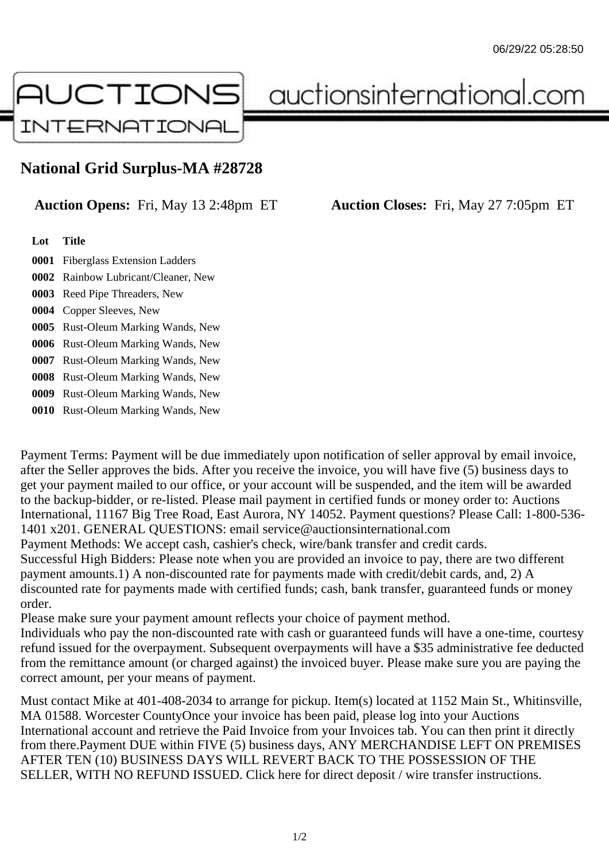

auctionsinternational.com

## **National Grid Surplus-MA #28728**

**Auction Opens:** Fri, May 13 2:48pm ET **Auction Closes:** Fri, May 27 7:05pm ET

## **Lot Title**

- **0001** Fiberglass Extension Ladders
- **0002** Rainbow Lubricant/Cleaner, New
- **0003** Reed Pipe Threaders, New
- **0004** Copper Sleeves, New
- **0005** Rust-Oleum Marking Wands, New
- **0006** Rust-Oleum Marking Wands, New
- **0007** Rust-Oleum Marking Wands, New
- **0008** Rust-Oleum Marking Wands, New
- **0009** Rust-Oleum Marking Wands, New
- **0010** Rust-Oleum Marking Wands, New

Payment Terms: Payment will be due immediately upon notification of seller approval by email invoice, after the Seller approves the bids. After you receive the invoice, you will have five (5) business days to get your payment mailed to our office, or your account will be suspended, and the item will be awarded to the backup-bidder, or re-listed. Please mail payment in certified funds or money order to: Auctions International, 11167 Big Tree Road, East Aurora, NY 14052. Payment questions? Please Call: 1-800-536- 1401 x201. GENERAL QUESTIONS: email service@auctionsinternational.com Payment Methods: We accept cash, cashier's check, wire/bank transfer and credit cards. Successful High Bidders: Please note when you are provided an invoice to pay, there are two different payment amounts.1) A non-discounted rate for payments made with credit/debit cards, and, 2) A discounted rate for payments made with certified funds; cash, bank transfer, guaranteed funds or money order.

Please make sure your payment amount reflects your choice of payment method.

Individuals who pay the non-discounted rate with cash or guaranteed funds will have a one-time, courtesy refund issued for the overpayment. Subsequent overpayments will have a \$35 administrative fee deducted from the remittance amount (or charged against) the invoiced buyer. Please make sure you are paying the correct amount, per your means of payment.

Must contact Mike at 401-408-2034 to arrange for pickup. Item(s) located at 1152 Main St., Whitinsville, MA 01588. Worcester CountyOnce your invoice has been paid, please log into your Auctions International account and retrieve the Paid Invoice from your Invoices tab. You can then print it directly from there.Payment DUE within FIVE (5) business days, ANY MERCHANDISE LEFT ON PREMISES AFTER TEN (10) BUSINESS DAYS WILL REVERT BACK TO THE POSSESSION OF THE SELLER, WITH NO REFUND ISSUED. Click here for direct deposit / wire transfer instructions.